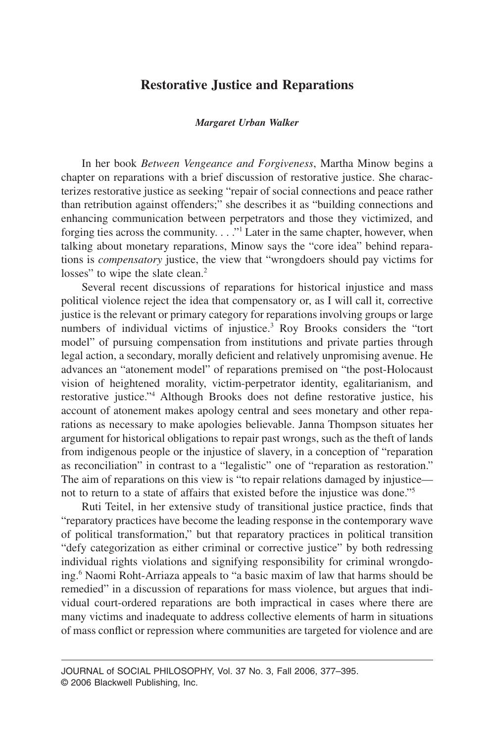# **Restorative Justice and Reparations**

## *Margaret Urban Walker*

In her book *Between Vengeance and Forgiveness*, Martha Minow begins a chapter on reparations with a brief discussion of restorative justice. She characterizes restorative justice as seeking "repair of social connections and peace rather than retribution against offenders;" she describes it as "building connections and enhancing communication between perpetrators and those they victimized, and forging ties across the community.  $\ldots$ <sup>1</sup> Later in the same chapter, however, when talking about monetary reparations, Minow says the "core idea" behind reparations is *compensatory* justice, the view that "wrongdoers should pay victims for losses" to wipe the slate clean.<sup>2</sup>

Several recent discussions of reparations for historical injustice and mass political violence reject the idea that compensatory or, as I will call it, corrective justice is the relevant or primary category for reparations involving groups or large numbers of individual victims of injustice.3 Roy Brooks considers the "tort model" of pursuing compensation from institutions and private parties through legal action, a secondary, morally deficient and relatively unpromising avenue. He advances an "atonement model" of reparations premised on "the post-Holocaust vision of heightened morality, victim-perpetrator identity, egalitarianism, and restorative justice."4 Although Brooks does not define restorative justice, his account of atonement makes apology central and sees monetary and other reparations as necessary to make apologies believable. Janna Thompson situates her argument for historical obligations to repair past wrongs, such as the theft of lands from indigenous people or the injustice of slavery, in a conception of "reparation as reconciliation" in contrast to a "legalistic" one of "reparation as restoration." The aim of reparations on this view is "to repair relations damaged by injustice not to return to a state of affairs that existed before the injustice was done."5

Ruti Teitel, in her extensive study of transitional justice practice, finds that "reparatory practices have become the leading response in the contemporary wave of political transformation," but that reparatory practices in political transition "defy categorization as either criminal or corrective justice" by both redressing individual rights violations and signifying responsibility for criminal wrongdoing.6 Naomi Roht-Arriaza appeals to "a basic maxim of law that harms should be remedied" in a discussion of reparations for mass violence, but argues that individual court-ordered reparations are both impractical in cases where there are many victims and inadequate to address collective elements of harm in situations of mass conflict or repression where communities are targeted for violence and are

JOURNAL of SOCIAL PHILOSOPHY, Vol. 37 No. 3, Fall 2006, 377–395. © 2006 Blackwell Publishing, Inc.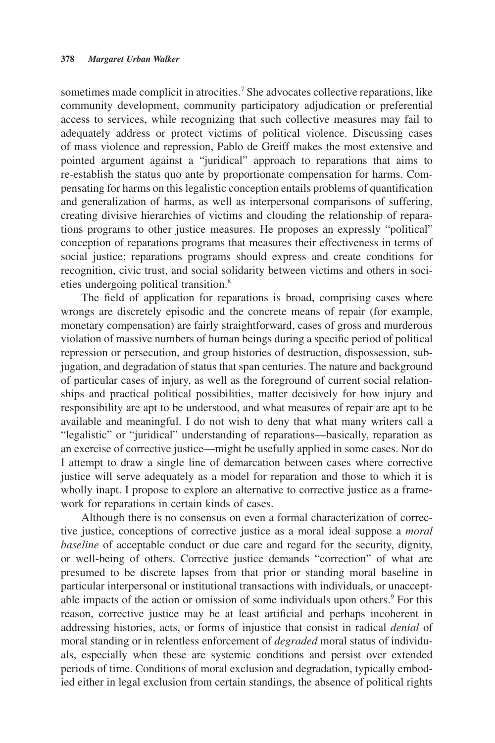sometimes made complicit in atrocities.<sup>7</sup> She advocates collective reparations, like community development, community participatory adjudication or preferential access to services, while recognizing that such collective measures may fail to adequately address or protect victims of political violence. Discussing cases of mass violence and repression, Pablo de Greiff makes the most extensive and pointed argument against a "juridical" approach to reparations that aims to re-establish the status quo ante by proportionate compensation for harms. Compensating for harms on this legalistic conception entails problems of quantification and generalization of harms, as well as interpersonal comparisons of suffering, creating divisive hierarchies of victims and clouding the relationship of reparations programs to other justice measures. He proposes an expressly "political" conception of reparations programs that measures their effectiveness in terms of social justice; reparations programs should express and create conditions for recognition, civic trust, and social solidarity between victims and others in societies undergoing political transition.<sup>8</sup>

The field of application for reparations is broad, comprising cases where wrongs are discretely episodic and the concrete means of repair (for example, monetary compensation) are fairly straightforward, cases of gross and murderous violation of massive numbers of human beings during a specific period of political repression or persecution, and group histories of destruction, dispossession, subjugation, and degradation of status that span centuries. The nature and background of particular cases of injury, as well as the foreground of current social relationships and practical political possibilities, matter decisively for how injury and responsibility are apt to be understood, and what measures of repair are apt to be available and meaningful. I do not wish to deny that what many writers call a "legalistic" or "juridical" understanding of reparations—basically, reparation as an exercise of corrective justice—might be usefully applied in some cases. Nor do I attempt to draw a single line of demarcation between cases where corrective justice will serve adequately as a model for reparation and those to which it is wholly inapt. I propose to explore an alternative to corrective justice as a framework for reparations in certain kinds of cases.

Although there is no consensus on even a formal characterization of corrective justice, conceptions of corrective justice as a moral ideal suppose a *moral baseline* of acceptable conduct or due care and regard for the security, dignity, or well-being of others. Corrective justice demands "correction" of what are presumed to be discrete lapses from that prior or standing moral baseline in particular interpersonal or institutional transactions with individuals, or unacceptable impacts of the action or omission of some individuals upon others.<sup>9</sup> For this reason, corrective justice may be at least artificial and perhaps incoherent in addressing histories, acts, or forms of injustice that consist in radical *denial* of moral standing or in relentless enforcement of *degraded* moral status of individuals, especially when these are systemic conditions and persist over extended periods of time. Conditions of moral exclusion and degradation, typically embodied either in legal exclusion from certain standings, the absence of political rights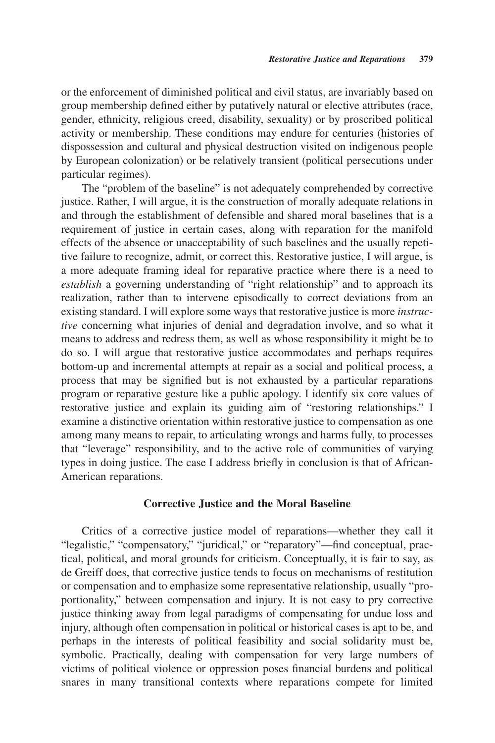or the enforcement of diminished political and civil status, are invariably based on group membership defined either by putatively natural or elective attributes (race, gender, ethnicity, religious creed, disability, sexuality) or by proscribed political activity or membership. These conditions may endure for centuries (histories of dispossession and cultural and physical destruction visited on indigenous people by European colonization) or be relatively transient (political persecutions under particular regimes).

The "problem of the baseline" is not adequately comprehended by corrective justice. Rather, I will argue, it is the construction of morally adequate relations in and through the establishment of defensible and shared moral baselines that is a requirement of justice in certain cases, along with reparation for the manifold effects of the absence or unacceptability of such baselines and the usually repetitive failure to recognize, admit, or correct this. Restorative justice, I will argue, is a more adequate framing ideal for reparative practice where there is a need to *establish* a governing understanding of "right relationship" and to approach its realization, rather than to intervene episodically to correct deviations from an existing standard. I will explore some ways that restorative justice is more *instructive* concerning what injuries of denial and degradation involve, and so what it means to address and redress them, as well as whose responsibility it might be to do so. I will argue that restorative justice accommodates and perhaps requires bottom-up and incremental attempts at repair as a social and political process, a process that may be signified but is not exhausted by a particular reparations program or reparative gesture like a public apology. I identify six core values of restorative justice and explain its guiding aim of "restoring relationships." I examine a distinctive orientation within restorative justice to compensation as one among many means to repair, to articulating wrongs and harms fully, to processes that "leverage" responsibility, and to the active role of communities of varying types in doing justice. The case I address briefly in conclusion is that of African-American reparations.

## **Corrective Justice and the Moral Baseline**

Critics of a corrective justice model of reparations—whether they call it "legalistic," "compensatory," "juridical," or "reparatory"—find conceptual, practical, political, and moral grounds for criticism. Conceptually, it is fair to say, as de Greiff does, that corrective justice tends to focus on mechanisms of restitution or compensation and to emphasize some representative relationship, usually "proportionality," between compensation and injury. It is not easy to pry corrective justice thinking away from legal paradigms of compensating for undue loss and injury, although often compensation in political or historical cases is apt to be, and perhaps in the interests of political feasibility and social solidarity must be, symbolic. Practically, dealing with compensation for very large numbers of victims of political violence or oppression poses financial burdens and political snares in many transitional contexts where reparations compete for limited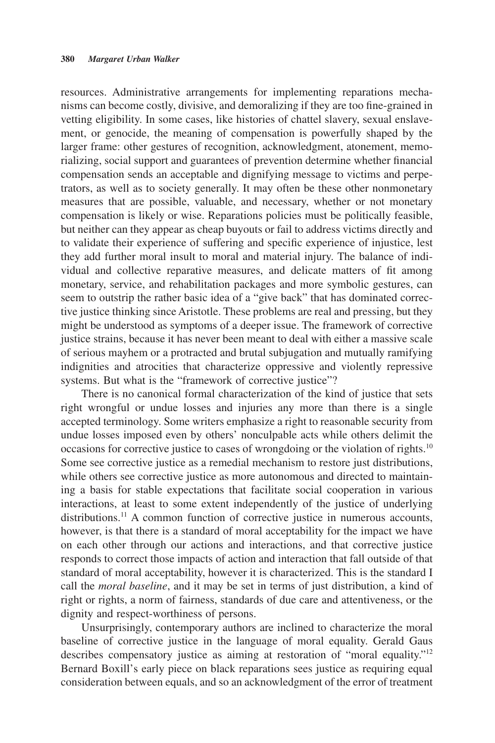resources. Administrative arrangements for implementing reparations mechanisms can become costly, divisive, and demoralizing if they are too fine-grained in vetting eligibility. In some cases, like histories of chattel slavery, sexual enslavement, or genocide, the meaning of compensation is powerfully shaped by the larger frame: other gestures of recognition, acknowledgment, atonement, memorializing, social support and guarantees of prevention determine whether financial compensation sends an acceptable and dignifying message to victims and perpetrators, as well as to society generally. It may often be these other nonmonetary measures that are possible, valuable, and necessary, whether or not monetary compensation is likely or wise. Reparations policies must be politically feasible, but neither can they appear as cheap buyouts or fail to address victims directly and to validate their experience of suffering and specific experience of injustice, lest they add further moral insult to moral and material injury. The balance of individual and collective reparative measures, and delicate matters of fit among monetary, service, and rehabilitation packages and more symbolic gestures, can seem to outstrip the rather basic idea of a "give back" that has dominated corrective justice thinking since Aristotle. These problems are real and pressing, but they might be understood as symptoms of a deeper issue. The framework of corrective justice strains, because it has never been meant to deal with either a massive scale of serious mayhem or a protracted and brutal subjugation and mutually ramifying indignities and atrocities that characterize oppressive and violently repressive systems. But what is the "framework of corrective justice"?

There is no canonical formal characterization of the kind of justice that sets right wrongful or undue losses and injuries any more than there is a single accepted terminology. Some writers emphasize a right to reasonable security from undue losses imposed even by others' nonculpable acts while others delimit the occasions for corrective justice to cases of wrongdoing or the violation of rights.10 Some see corrective justice as a remedial mechanism to restore just distributions, while others see corrective justice as more autonomous and directed to maintaining a basis for stable expectations that facilitate social cooperation in various interactions, at least to some extent independently of the justice of underlying distributions.<sup>11</sup> A common function of corrective justice in numerous accounts, however, is that there is a standard of moral acceptability for the impact we have on each other through our actions and interactions, and that corrective justice responds to correct those impacts of action and interaction that fall outside of that standard of moral acceptability, however it is characterized. This is the standard I call the *moral baseline*, and it may be set in terms of just distribution, a kind of right or rights, a norm of fairness, standards of due care and attentiveness, or the dignity and respect-worthiness of persons.

Unsurprisingly, contemporary authors are inclined to characterize the moral baseline of corrective justice in the language of moral equality. Gerald Gaus describes compensatory justice as aiming at restoration of "moral equality."12 Bernard Boxill's early piece on black reparations sees justice as requiring equal consideration between equals, and so an acknowledgment of the error of treatment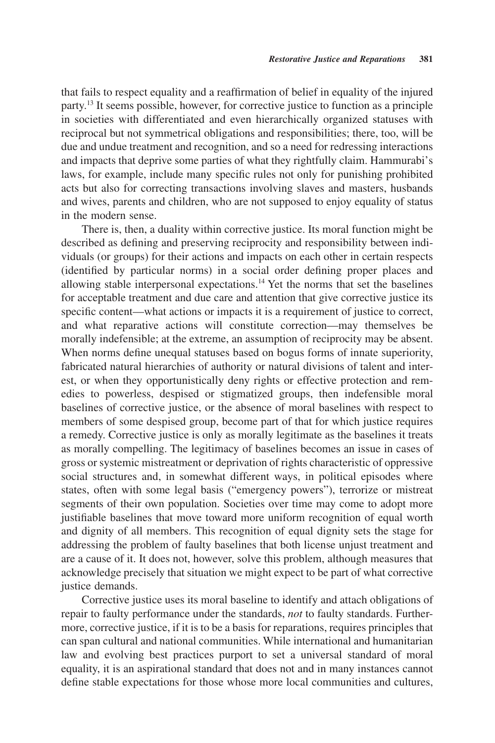that fails to respect equality and a reaffirmation of belief in equality of the injured party.13 It seems possible, however, for corrective justice to function as a principle in societies with differentiated and even hierarchically organized statuses with reciprocal but not symmetrical obligations and responsibilities; there, too, will be due and undue treatment and recognition, and so a need for redressing interactions and impacts that deprive some parties of what they rightfully claim. Hammurabi's laws, for example, include many specific rules not only for punishing prohibited acts but also for correcting transactions involving slaves and masters, husbands and wives, parents and children, who are not supposed to enjoy equality of status in the modern sense.

There is, then, a duality within corrective justice. Its moral function might be described as defining and preserving reciprocity and responsibility between individuals (or groups) for their actions and impacts on each other in certain respects (identified by particular norms) in a social order defining proper places and allowing stable interpersonal expectations.<sup>14</sup> Yet the norms that set the baselines for acceptable treatment and due care and attention that give corrective justice its specific content—what actions or impacts it is a requirement of justice to correct, and what reparative actions will constitute correction—may themselves be morally indefensible; at the extreme, an assumption of reciprocity may be absent. When norms define unequal statuses based on bogus forms of innate superiority, fabricated natural hierarchies of authority or natural divisions of talent and interest, or when they opportunistically deny rights or effective protection and remedies to powerless, despised or stigmatized groups, then indefensible moral baselines of corrective justice, or the absence of moral baselines with respect to members of some despised group, become part of that for which justice requires a remedy. Corrective justice is only as morally legitimate as the baselines it treats as morally compelling. The legitimacy of baselines becomes an issue in cases of gross or systemic mistreatment or deprivation of rights characteristic of oppressive social structures and, in somewhat different ways, in political episodes where states, often with some legal basis ("emergency powers"), terrorize or mistreat segments of their own population. Societies over time may come to adopt more justifiable baselines that move toward more uniform recognition of equal worth and dignity of all members. This recognition of equal dignity sets the stage for addressing the problem of faulty baselines that both license unjust treatment and are a cause of it. It does not, however, solve this problem, although measures that acknowledge precisely that situation we might expect to be part of what corrective justice demands.

Corrective justice uses its moral baseline to identify and attach obligations of repair to faulty performance under the standards, *not* to faulty standards. Furthermore, corrective justice, if it is to be a basis for reparations, requires principles that can span cultural and national communities. While international and humanitarian law and evolving best practices purport to set a universal standard of moral equality, it is an aspirational standard that does not and in many instances cannot define stable expectations for those whose more local communities and cultures,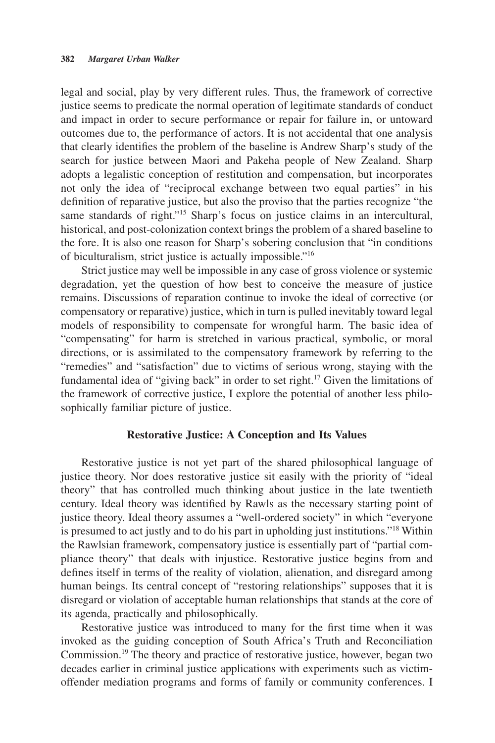legal and social, play by very different rules. Thus, the framework of corrective justice seems to predicate the normal operation of legitimate standards of conduct and impact in order to secure performance or repair for failure in, or untoward outcomes due to, the performance of actors. It is not accidental that one analysis that clearly identifies the problem of the baseline is Andrew Sharp's study of the search for justice between Maori and Pakeha people of New Zealand. Sharp adopts a legalistic conception of restitution and compensation, but incorporates not only the idea of "reciprocal exchange between two equal parties" in his definition of reparative justice, but also the proviso that the parties recognize "the same standards of right."<sup>15</sup> Sharp's focus on justice claims in an intercultural, historical, and post-colonization context brings the problem of a shared baseline to the fore. It is also one reason for Sharp's sobering conclusion that "in conditions of biculturalism, strict justice is actually impossible."16

Strict justice may well be impossible in any case of gross violence or systemic degradation, yet the question of how best to conceive the measure of justice remains. Discussions of reparation continue to invoke the ideal of corrective (or compensatory or reparative) justice, which in turn is pulled inevitably toward legal models of responsibility to compensate for wrongful harm. The basic idea of "compensating" for harm is stretched in various practical, symbolic, or moral directions, or is assimilated to the compensatory framework by referring to the "remedies" and "satisfaction" due to victims of serious wrong, staying with the fundamental idea of "giving back" in order to set right.<sup>17</sup> Given the limitations of the framework of corrective justice, I explore the potential of another less philosophically familiar picture of justice.

## **Restorative Justice: A Conception and Its Values**

Restorative justice is not yet part of the shared philosophical language of justice theory. Nor does restorative justice sit easily with the priority of "ideal theory" that has controlled much thinking about justice in the late twentieth century. Ideal theory was identified by Rawls as the necessary starting point of justice theory. Ideal theory assumes a "well-ordered society" in which "everyone is presumed to act justly and to do his part in upholding just institutions."18 Within the Rawlsian framework, compensatory justice is essentially part of "partial compliance theory" that deals with injustice. Restorative justice begins from and defines itself in terms of the reality of violation, alienation, and disregard among human beings. Its central concept of "restoring relationships" supposes that it is disregard or violation of acceptable human relationships that stands at the core of its agenda, practically and philosophically.

Restorative justice was introduced to many for the first time when it was invoked as the guiding conception of South Africa's Truth and Reconciliation Commission.19 The theory and practice of restorative justice, however, began two decades earlier in criminal justice applications with experiments such as victimoffender mediation programs and forms of family or community conferences. I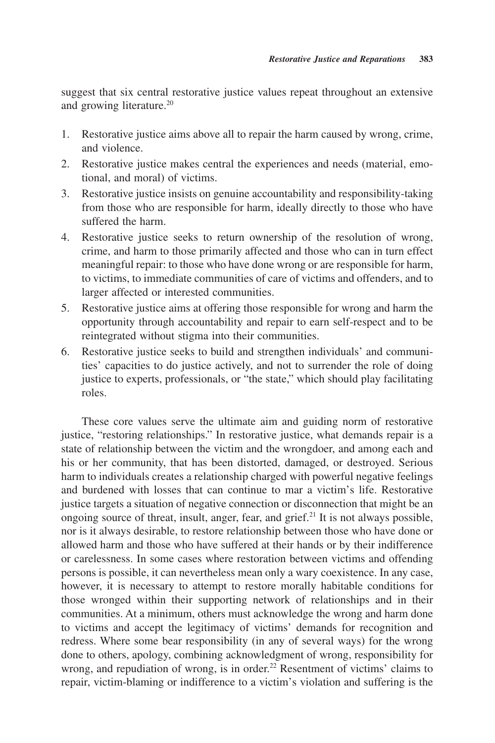suggest that six central restorative justice values repeat throughout an extensive and growing literature.<sup>20</sup>

- 1. Restorative justice aims above all to repair the harm caused by wrong, crime, and violence.
- 2. Restorative justice makes central the experiences and needs (material, emotional, and moral) of victims.
- 3. Restorative justice insists on genuine accountability and responsibility-taking from those who are responsible for harm, ideally directly to those who have suffered the harm.
- 4. Restorative justice seeks to return ownership of the resolution of wrong, crime, and harm to those primarily affected and those who can in turn effect meaningful repair: to those who have done wrong or are responsible for harm, to victims, to immediate communities of care of victims and offenders, and to larger affected or interested communities.
- 5. Restorative justice aims at offering those responsible for wrong and harm the opportunity through accountability and repair to earn self-respect and to be reintegrated without stigma into their communities.
- 6. Restorative justice seeks to build and strengthen individuals' and communities' capacities to do justice actively, and not to surrender the role of doing justice to experts, professionals, or "the state," which should play facilitating roles.

These core values serve the ultimate aim and guiding norm of restorative justice, "restoring relationships." In restorative justice, what demands repair is a state of relationship between the victim and the wrongdoer, and among each and his or her community, that has been distorted, damaged, or destroyed. Serious harm to individuals creates a relationship charged with powerful negative feelings and burdened with losses that can continue to mar a victim's life. Restorative justice targets a situation of negative connection or disconnection that might be an ongoing source of threat, insult, anger, fear, and grief.<sup>21</sup> It is not always possible, nor is it always desirable, to restore relationship between those who have done or allowed harm and those who have suffered at their hands or by their indifference or carelessness. In some cases where restoration between victims and offending persons is possible, it can nevertheless mean only a wary coexistence. In any case, however, it is necessary to attempt to restore morally habitable conditions for those wronged within their supporting network of relationships and in their communities. At a minimum, others must acknowledge the wrong and harm done to victims and accept the legitimacy of victims' demands for recognition and redress. Where some bear responsibility (in any of several ways) for the wrong done to others, apology, combining acknowledgment of wrong, responsibility for wrong, and repudiation of wrong, is in order.<sup>22</sup> Resentment of victims' claims to repair, victim-blaming or indifference to a victim's violation and suffering is the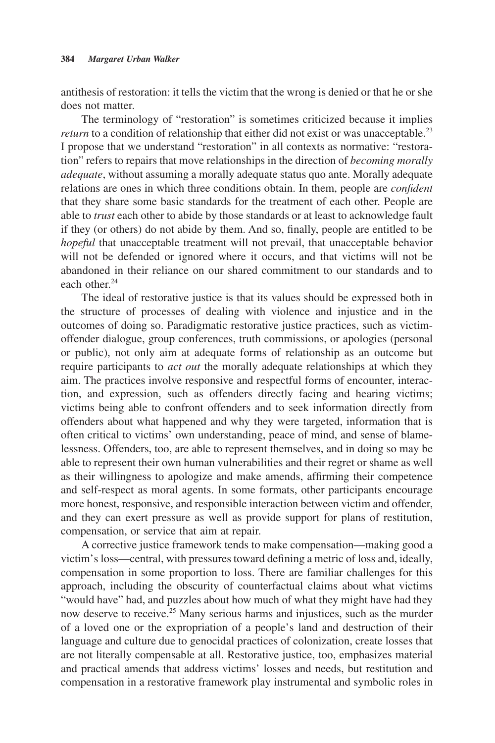antithesis of restoration: it tells the victim that the wrong is denied or that he or she does not matter.

The terminology of "restoration" is sometimes criticized because it implies *return* to a condition of relationship that either did not exist or was unacceptable.<sup>23</sup> I propose that we understand "restoration" in all contexts as normative: "restoration" refers to repairs that move relationships in the direction of *becoming morally adequate*, without assuming a morally adequate status quo ante. Morally adequate relations are ones in which three conditions obtain. In them, people are *confident* that they share some basic standards for the treatment of each other. People are able to *trust* each other to abide by those standards or at least to acknowledge fault if they (or others) do not abide by them. And so, finally, people are entitled to be *hopeful* that unacceptable treatment will not prevail, that unacceptable behavior will not be defended or ignored where it occurs, and that victims will not be abandoned in their reliance on our shared commitment to our standards and to each other.<sup>24</sup>

The ideal of restorative justice is that its values should be expressed both in the structure of processes of dealing with violence and injustice and in the outcomes of doing so. Paradigmatic restorative justice practices, such as victimoffender dialogue, group conferences, truth commissions, or apologies (personal or public), not only aim at adequate forms of relationship as an outcome but require participants to *act out* the morally adequate relationships at which they aim. The practices involve responsive and respectful forms of encounter, interaction, and expression, such as offenders directly facing and hearing victims; victims being able to confront offenders and to seek information directly from offenders about what happened and why they were targeted, information that is often critical to victims' own understanding, peace of mind, and sense of blamelessness. Offenders, too, are able to represent themselves, and in doing so may be able to represent their own human vulnerabilities and their regret or shame as well as their willingness to apologize and make amends, affirming their competence and self-respect as moral agents. In some formats, other participants encourage more honest, responsive, and responsible interaction between victim and offender, and they can exert pressure as well as provide support for plans of restitution, compensation, or service that aim at repair.

A corrective justice framework tends to make compensation—making good a victim's loss—central, with pressures toward defining a metric of loss and, ideally, compensation in some proportion to loss. There are familiar challenges for this approach, including the obscurity of counterfactual claims about what victims "would have" had, and puzzles about how much of what they might have had they now deserve to receive.25 Many serious harms and injustices, such as the murder of a loved one or the expropriation of a people's land and destruction of their language and culture due to genocidal practices of colonization, create losses that are not literally compensable at all. Restorative justice, too, emphasizes material and practical amends that address victims' losses and needs, but restitution and compensation in a restorative framework play instrumental and symbolic roles in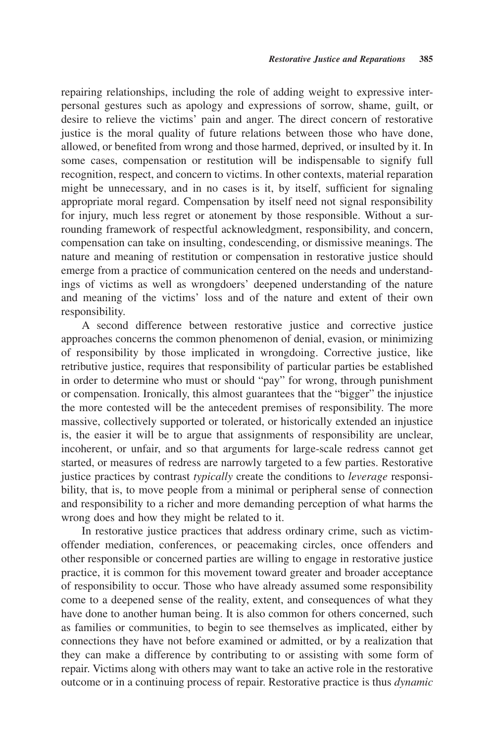repairing relationships, including the role of adding weight to expressive interpersonal gestures such as apology and expressions of sorrow, shame, guilt, or desire to relieve the victims' pain and anger. The direct concern of restorative justice is the moral quality of future relations between those who have done, allowed, or benefited from wrong and those harmed, deprived, or insulted by it. In some cases, compensation or restitution will be indispensable to signify full recognition, respect, and concern to victims. In other contexts, material reparation might be unnecessary, and in no cases is it, by itself, sufficient for signaling appropriate moral regard. Compensation by itself need not signal responsibility for injury, much less regret or atonement by those responsible. Without a surrounding framework of respectful acknowledgment, responsibility, and concern, compensation can take on insulting, condescending, or dismissive meanings. The nature and meaning of restitution or compensation in restorative justice should emerge from a practice of communication centered on the needs and understandings of victims as well as wrongdoers' deepened understanding of the nature and meaning of the victims' loss and of the nature and extent of their own responsibility.

A second difference between restorative justice and corrective justice approaches concerns the common phenomenon of denial, evasion, or minimizing of responsibility by those implicated in wrongdoing. Corrective justice, like retributive justice, requires that responsibility of particular parties be established in order to determine who must or should "pay" for wrong, through punishment or compensation. Ironically, this almost guarantees that the "bigger" the injustice the more contested will be the antecedent premises of responsibility. The more massive, collectively supported or tolerated, or historically extended an injustice is, the easier it will be to argue that assignments of responsibility are unclear, incoherent, or unfair, and so that arguments for large-scale redress cannot get started, or measures of redress are narrowly targeted to a few parties. Restorative justice practices by contrast *typically* create the conditions to *leverage* responsibility, that is, to move people from a minimal or peripheral sense of connection and responsibility to a richer and more demanding perception of what harms the wrong does and how they might be related to it.

In restorative justice practices that address ordinary crime, such as victimoffender mediation, conferences, or peacemaking circles, once offenders and other responsible or concerned parties are willing to engage in restorative justice practice, it is common for this movement toward greater and broader acceptance of responsibility to occur. Those who have already assumed some responsibility come to a deepened sense of the reality, extent, and consequences of what they have done to another human being. It is also common for others concerned, such as families or communities, to begin to see themselves as implicated, either by connections they have not before examined or admitted, or by a realization that they can make a difference by contributing to or assisting with some form of repair. Victims along with others may want to take an active role in the restorative outcome or in a continuing process of repair. Restorative practice is thus *dynamic*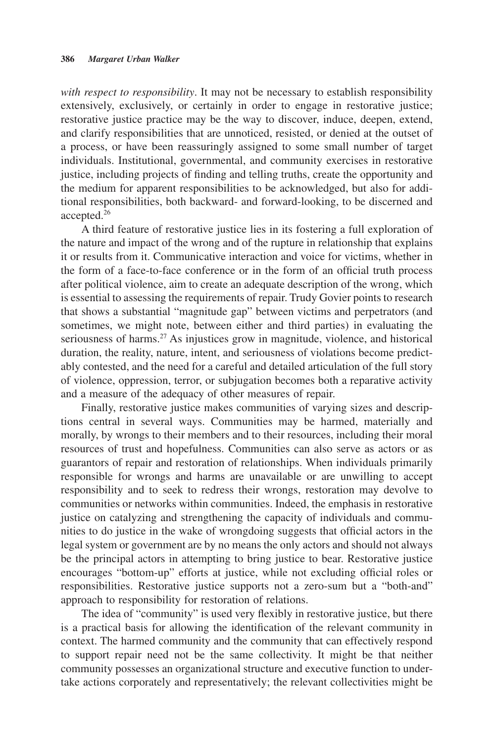*with respect to responsibility*. It may not be necessary to establish responsibility extensively, exclusively, or certainly in order to engage in restorative justice; restorative justice practice may be the way to discover, induce, deepen, extend, and clarify responsibilities that are unnoticed, resisted, or denied at the outset of a process, or have been reassuringly assigned to some small number of target individuals. Institutional, governmental, and community exercises in restorative justice, including projects of finding and telling truths, create the opportunity and the medium for apparent responsibilities to be acknowledged, but also for additional responsibilities, both backward- and forward-looking, to be discerned and accepted.<sup>26</sup>

A third feature of restorative justice lies in its fostering a full exploration of the nature and impact of the wrong and of the rupture in relationship that explains it or results from it. Communicative interaction and voice for victims, whether in the form of a face-to-face conference or in the form of an official truth process after political violence, aim to create an adequate description of the wrong, which is essential to assessing the requirements of repair. Trudy Govier points to research that shows a substantial "magnitude gap" between victims and perpetrators (and sometimes, we might note, between either and third parties) in evaluating the seriousness of harms.<sup>27</sup> As injustices grow in magnitude, violence, and historical duration, the reality, nature, intent, and seriousness of violations become predictably contested, and the need for a careful and detailed articulation of the full story of violence, oppression, terror, or subjugation becomes both a reparative activity and a measure of the adequacy of other measures of repair.

Finally, restorative justice makes communities of varying sizes and descriptions central in several ways. Communities may be harmed, materially and morally, by wrongs to their members and to their resources, including their moral resources of trust and hopefulness. Communities can also serve as actors or as guarantors of repair and restoration of relationships. When individuals primarily responsible for wrongs and harms are unavailable or are unwilling to accept responsibility and to seek to redress their wrongs, restoration may devolve to communities or networks within communities. Indeed, the emphasis in restorative justice on catalyzing and strengthening the capacity of individuals and communities to do justice in the wake of wrongdoing suggests that official actors in the legal system or government are by no means the only actors and should not always be the principal actors in attempting to bring justice to bear. Restorative justice encourages "bottom-up" efforts at justice, while not excluding official roles or responsibilities. Restorative justice supports not a zero-sum but a "both-and" approach to responsibility for restoration of relations.

The idea of "community" is used very flexibly in restorative justice, but there is a practical basis for allowing the identification of the relevant community in context. The harmed community and the community that can effectively respond to support repair need not be the same collectivity. It might be that neither community possesses an organizational structure and executive function to undertake actions corporately and representatively; the relevant collectivities might be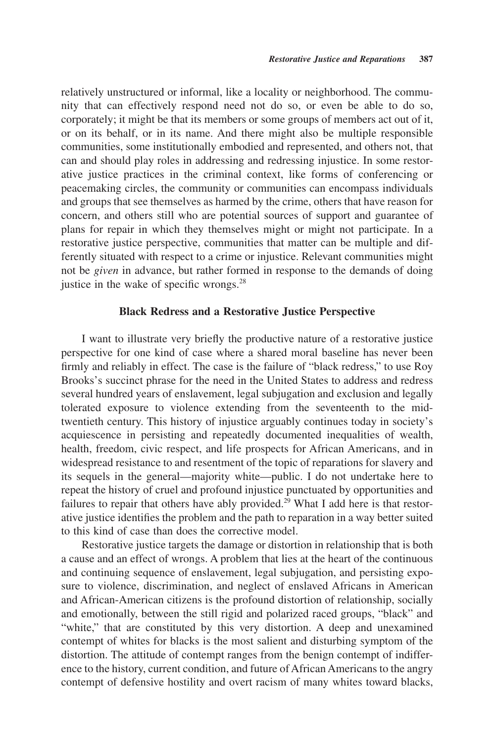relatively unstructured or informal, like a locality or neighborhood. The community that can effectively respond need not do so, or even be able to do so, corporately; it might be that its members or some groups of members act out of it, or on its behalf, or in its name. And there might also be multiple responsible communities, some institutionally embodied and represented, and others not, that can and should play roles in addressing and redressing injustice. In some restorative justice practices in the criminal context, like forms of conferencing or peacemaking circles, the community or communities can encompass individuals and groups that see themselves as harmed by the crime, others that have reason for concern, and others still who are potential sources of support and guarantee of plans for repair in which they themselves might or might not participate. In a restorative justice perspective, communities that matter can be multiple and differently situated with respect to a crime or injustice. Relevant communities might not be *given* in advance, but rather formed in response to the demands of doing justice in the wake of specific wrongs.<sup>28</sup>

## **Black Redress and a Restorative Justice Perspective**

I want to illustrate very briefly the productive nature of a restorative justice perspective for one kind of case where a shared moral baseline has never been firmly and reliably in effect. The case is the failure of "black redress," to use Roy Brooks's succinct phrase for the need in the United States to address and redress several hundred years of enslavement, legal subjugation and exclusion and legally tolerated exposure to violence extending from the seventeenth to the midtwentieth century. This history of injustice arguably continues today in society's acquiescence in persisting and repeatedly documented inequalities of wealth, health, freedom, civic respect, and life prospects for African Americans, and in widespread resistance to and resentment of the topic of reparations for slavery and its sequels in the general—majority white—public. I do not undertake here to repeat the history of cruel and profound injustice punctuated by opportunities and failures to repair that others have ably provided.<sup>29</sup> What I add here is that restorative justice identifies the problem and the path to reparation in a way better suited to this kind of case than does the corrective model.

Restorative justice targets the damage or distortion in relationship that is both a cause and an effect of wrongs. A problem that lies at the heart of the continuous and continuing sequence of enslavement, legal subjugation, and persisting exposure to violence, discrimination, and neglect of enslaved Africans in American and African-American citizens is the profound distortion of relationship, socially and emotionally, between the still rigid and polarized raced groups, "black" and "white," that are constituted by this very distortion. A deep and unexamined contempt of whites for blacks is the most salient and disturbing symptom of the distortion. The attitude of contempt ranges from the benign contempt of indifference to the history, current condition, and future of African Americans to the angry contempt of defensive hostility and overt racism of many whites toward blacks,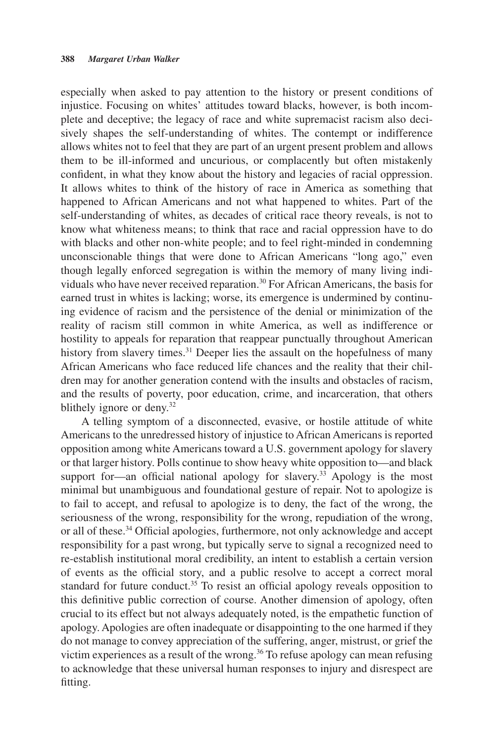especially when asked to pay attention to the history or present conditions of injustice. Focusing on whites' attitudes toward blacks, however, is both incomplete and deceptive; the legacy of race and white supremacist racism also decisively shapes the self-understanding of whites. The contempt or indifference allows whites not to feel that they are part of an urgent present problem and allows them to be ill-informed and uncurious, or complacently but often mistakenly confident, in what they know about the history and legacies of racial oppression. It allows whites to think of the history of race in America as something that happened to African Americans and not what happened to whites. Part of the self-understanding of whites, as decades of critical race theory reveals, is not to know what whiteness means; to think that race and racial oppression have to do with blacks and other non-white people; and to feel right-minded in condemning unconscionable things that were done to African Americans "long ago," even though legally enforced segregation is within the memory of many living individuals who have never received reparation.<sup>30</sup> For African Americans, the basis for earned trust in whites is lacking; worse, its emergence is undermined by continuing evidence of racism and the persistence of the denial or minimization of the reality of racism still common in white America, as well as indifference or hostility to appeals for reparation that reappear punctually throughout American history from slavery times.<sup>31</sup> Deeper lies the assault on the hopefulness of many African Americans who face reduced life chances and the reality that their children may for another generation contend with the insults and obstacles of racism, and the results of poverty, poor education, crime, and incarceration, that others blithely ignore or deny. $32$ 

A telling symptom of a disconnected, evasive, or hostile attitude of white Americans to the unredressed history of injustice to African Americans is reported opposition among white Americans toward a U.S. government apology for slavery or that larger history. Polls continue to show heavy white opposition to—and black support for—an official national apology for slavery.<sup>33</sup> Apology is the most minimal but unambiguous and foundational gesture of repair. Not to apologize is to fail to accept, and refusal to apologize is to deny, the fact of the wrong, the seriousness of the wrong, responsibility for the wrong, repudiation of the wrong, or all of these.<sup>34</sup> Official apologies, furthermore, not only acknowledge and accept responsibility for a past wrong, but typically serve to signal a recognized need to re-establish institutional moral credibility, an intent to establish a certain version of events as the official story, and a public resolve to accept a correct moral standard for future conduct.<sup>35</sup> To resist an official apology reveals opposition to this definitive public correction of course. Another dimension of apology, often crucial to its effect but not always adequately noted, is the empathetic function of apology. Apologies are often inadequate or disappointing to the one harmed if they do not manage to convey appreciation of the suffering, anger, mistrust, or grief the victim experiences as a result of the wrong.<sup>36</sup> To refuse apology can mean refusing to acknowledge that these universal human responses to injury and disrespect are fitting.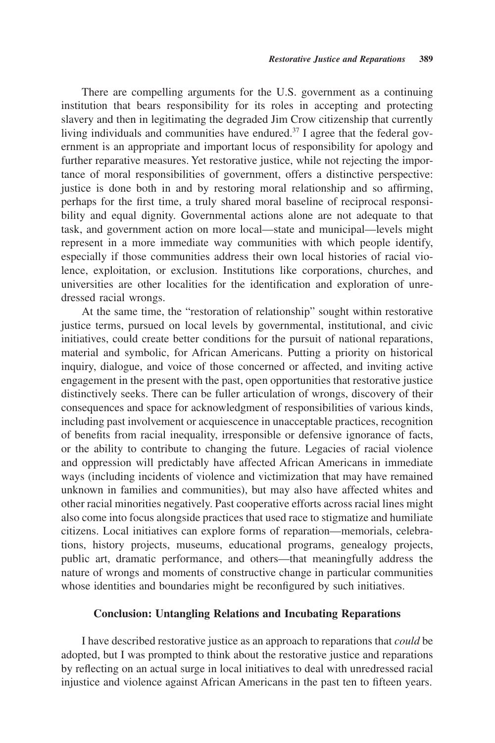There are compelling arguments for the U.S. government as a continuing institution that bears responsibility for its roles in accepting and protecting slavery and then in legitimating the degraded Jim Crow citizenship that currently living individuals and communities have endured.<sup>37</sup> I agree that the federal government is an appropriate and important locus of responsibility for apology and further reparative measures. Yet restorative justice, while not rejecting the importance of moral responsibilities of government, offers a distinctive perspective: justice is done both in and by restoring moral relationship and so affirming, perhaps for the first time, a truly shared moral baseline of reciprocal responsibility and equal dignity. Governmental actions alone are not adequate to that task, and government action on more local—state and municipal—levels might represent in a more immediate way communities with which people identify, especially if those communities address their own local histories of racial violence, exploitation, or exclusion. Institutions like corporations, churches, and universities are other localities for the identification and exploration of unredressed racial wrongs.

At the same time, the "restoration of relationship" sought within restorative justice terms, pursued on local levels by governmental, institutional, and civic initiatives, could create better conditions for the pursuit of national reparations, material and symbolic, for African Americans. Putting a priority on historical inquiry, dialogue, and voice of those concerned or affected, and inviting active engagement in the present with the past, open opportunities that restorative justice distinctively seeks. There can be fuller articulation of wrongs, discovery of their consequences and space for acknowledgment of responsibilities of various kinds, including past involvement or acquiescence in unacceptable practices, recognition of benefits from racial inequality, irresponsible or defensive ignorance of facts, or the ability to contribute to changing the future. Legacies of racial violence and oppression will predictably have affected African Americans in immediate ways (including incidents of violence and victimization that may have remained unknown in families and communities), but may also have affected whites and other racial minorities negatively. Past cooperative efforts across racial lines might also come into focus alongside practices that used race to stigmatize and humiliate citizens. Local initiatives can explore forms of reparation—memorials, celebrations, history projects, museums, educational programs, genealogy projects, public art, dramatic performance, and others—that meaningfully address the nature of wrongs and moments of constructive change in particular communities whose identities and boundaries might be reconfigured by such initiatives.

# **Conclusion: Untangling Relations and Incubating Reparations**

I have described restorative justice as an approach to reparations that *could* be adopted, but I was prompted to think about the restorative justice and reparations by reflecting on an actual surge in local initiatives to deal with unredressed racial injustice and violence against African Americans in the past ten to fifteen years.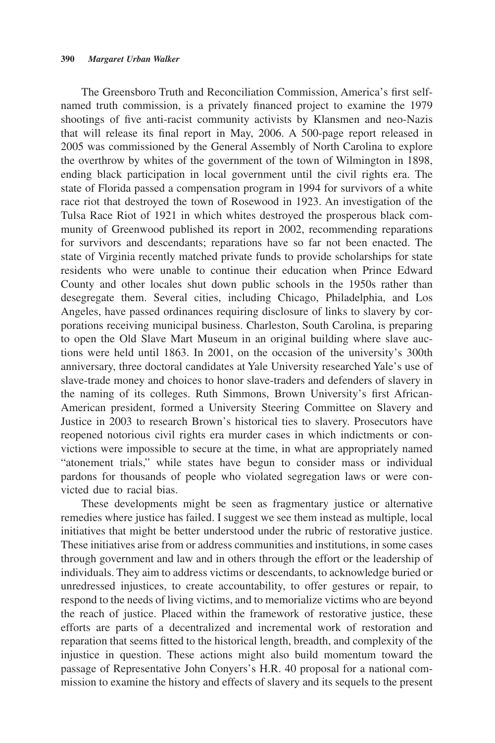The Greensboro Truth and Reconciliation Commission, America's first selfnamed truth commission, is a privately financed project to examine the 1979 shootings of five anti-racist community activists by Klansmen and neo-Nazis that will release its final report in May, 2006. A 500-page report released in 2005 was commissioned by the General Assembly of North Carolina to explore the overthrow by whites of the government of the town of Wilmington in 1898, ending black participation in local government until the civil rights era. The state of Florida passed a compensation program in 1994 for survivors of a white race riot that destroyed the town of Rosewood in 1923. An investigation of the Tulsa Race Riot of 1921 in which whites destroyed the prosperous black community of Greenwood published its report in 2002, recommending reparations for survivors and descendants; reparations have so far not been enacted. The state of Virginia recently matched private funds to provide scholarships for state residents who were unable to continue their education when Prince Edward County and other locales shut down public schools in the 1950s rather than desegregate them. Several cities, including Chicago, Philadelphia, and Los Angeles, have passed ordinances requiring disclosure of links to slavery by corporations receiving municipal business. Charleston, South Carolina, is preparing to open the Old Slave Mart Museum in an original building where slave auctions were held until 1863. In 2001, on the occasion of the university's 300th anniversary, three doctoral candidates at Yale University researched Yale's use of slave-trade money and choices to honor slave-traders and defenders of slavery in the naming of its colleges. Ruth Simmons, Brown University's first African-American president, formed a University Steering Committee on Slavery and Justice in 2003 to research Brown's historical ties to slavery. Prosecutors have reopened notorious civil rights era murder cases in which indictments or convictions were impossible to secure at the time, in what are appropriately named "atonement trials," while states have begun to consider mass or individual pardons for thousands of people who violated segregation laws or were convicted due to racial bias.

These developments might be seen as fragmentary justice or alternative remedies where justice has failed. I suggest we see them instead as multiple, local initiatives that might be better understood under the rubric of restorative justice. These initiatives arise from or address communities and institutions, in some cases through government and law and in others through the effort or the leadership of individuals. They aim to address victims or descendants, to acknowledge buried or unredressed injustices, to create accountability, to offer gestures or repair, to respond to the needs of living victims, and to memorialize victims who are beyond the reach of justice. Placed within the framework of restorative justice, these efforts are parts of a decentralized and incremental work of restoration and reparation that seems fitted to the historical length, breadth, and complexity of the injustice in question. These actions might also build momentum toward the passage of Representative John Conyers's H.R. 40 proposal for a national commission to examine the history and effects of slavery and its sequels to the present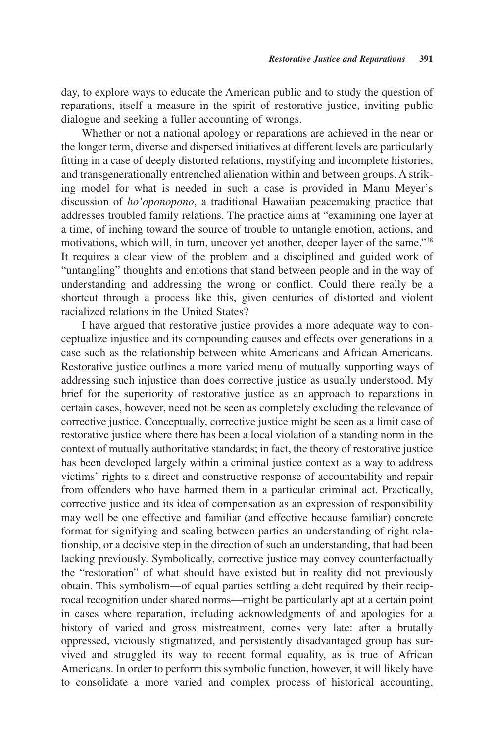day, to explore ways to educate the American public and to study the question of reparations, itself a measure in the spirit of restorative justice, inviting public dialogue and seeking a fuller accounting of wrongs.

Whether or not a national apology or reparations are achieved in the near or the longer term, diverse and dispersed initiatives at different levels are particularly fitting in a case of deeply distorted relations, mystifying and incomplete histories, and transgenerationally entrenched alienation within and between groups. A striking model for what is needed in such a case is provided in Manu Meyer's discussion of *ho'oponopono*, a traditional Hawaiian peacemaking practice that addresses troubled family relations. The practice aims at "examining one layer at a time, of inching toward the source of trouble to untangle emotion, actions, and motivations, which will, in turn, uncover yet another, deeper layer of the same."38 It requires a clear view of the problem and a disciplined and guided work of "untangling" thoughts and emotions that stand between people and in the way of understanding and addressing the wrong or conflict. Could there really be a shortcut through a process like this, given centuries of distorted and violent racialized relations in the United States?

I have argued that restorative justice provides a more adequate way to conceptualize injustice and its compounding causes and effects over generations in a case such as the relationship between white Americans and African Americans. Restorative justice outlines a more varied menu of mutually supporting ways of addressing such injustice than does corrective justice as usually understood. My brief for the superiority of restorative justice as an approach to reparations in certain cases, however, need not be seen as completely excluding the relevance of corrective justice. Conceptually, corrective justice might be seen as a limit case of restorative justice where there has been a local violation of a standing norm in the context of mutually authoritative standards; in fact, the theory of restorative justice has been developed largely within a criminal justice context as a way to address victims' rights to a direct and constructive response of accountability and repair from offenders who have harmed them in a particular criminal act. Practically, corrective justice and its idea of compensation as an expression of responsibility may well be one effective and familiar (and effective because familiar) concrete format for signifying and sealing between parties an understanding of right relationship, or a decisive step in the direction of such an understanding, that had been lacking previously. Symbolically, corrective justice may convey counterfactually the "restoration" of what should have existed but in reality did not previously obtain. This symbolism—of equal parties settling a debt required by their reciprocal recognition under shared norms—might be particularly apt at a certain point in cases where reparation, including acknowledgments of and apologies for a history of varied and gross mistreatment, comes very late: after a brutally oppressed, viciously stigmatized, and persistently disadvantaged group has survived and struggled its way to recent formal equality, as is true of African Americans. In order to perform this symbolic function, however, it will likely have to consolidate a more varied and complex process of historical accounting,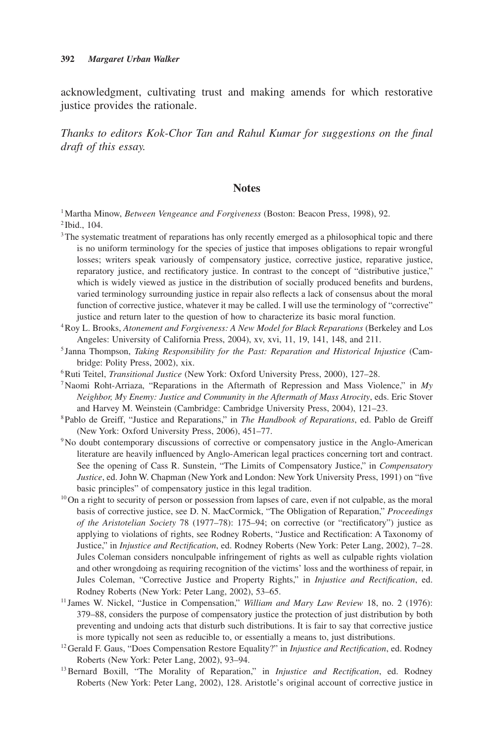acknowledgment, cultivating trust and making amends for which restorative justice provides the rationale.

*Thanks to editors Kok-Chor Tan and Rahul Kumar for suggestions on the final draft of this essay.*

# **Notes**

1Martha Minow, *Between Vengeance and Forgiveness* (Boston: Beacon Press, 1998), 92. <sup>2</sup> Ibid., 104.

- <sup>3</sup>The systematic treatment of reparations has only recently emerged as a philosophical topic and there is no uniform terminology for the species of justice that imposes obligations to repair wrongful losses; writers speak variously of compensatory justice, corrective justice, reparative justice, reparatory justice, and rectificatory justice. In contrast to the concept of "distributive justice," which is widely viewed as justice in the distribution of socially produced benefits and burdens, varied terminology surrounding justice in repair also reflects a lack of consensus about the moral function of corrective justice, whatever it may be called. I will use the terminology of "corrective" justice and return later to the question of how to characterize its basic moral function.
- 4Roy L. Brooks, *Atonement and Forgiveness: A New Model for Black Reparations* (Berkeley and Los Angeles: University of California Press, 2004), xv, xvi, 11, 19, 141, 148, and 211.
- <sup>5</sup> Janna Thompson, *Taking Responsibility for the Past: Reparation and Historical Injustice* (Cambridge: Polity Press, 2002), xix.
- 6Ruti Teitel, *Transitional Justice* (New York: Oxford University Press, 2000), 127–28.
- 7Naomi Roht-Arriaza, "Reparations in the Aftermath of Repression and Mass Violence," in *My Neighbor, My Enemy: Justice and Community in the Aftermath of Mass Atrocity*, eds. Eric Stover and Harvey M. Weinstein (Cambridge: Cambridge University Press, 2004), 121–23.
- 8Pablo de Greiff, "Justice and Reparations," in *The Handbook of Reparations*, ed. Pablo de Greiff (New York: Oxford University Press, 2006), 451–77.
- 9No doubt contemporary discussions of corrective or compensatory justice in the Anglo-American literature are heavily influenced by Anglo-American legal practices concerning tort and contract. See the opening of Cass R. Sunstein, "The Limits of Compensatory Justice," in *Compensatory Justice*, ed. John W. Chapman (New York and London: New York University Press, 1991) on "five basic principles" of compensatory justice in this legal tradition.
- <sup>10</sup>On a right to security of person or possession from lapses of care, even if not culpable, as the moral basis of corrective justice, see D. N. MacCormick, "The Obligation of Reparation," *Proceedings of the Aristotelian Society* 78 (1977–78): 175–94; on corrective (or "rectificatory") justice as applying to violations of rights, see Rodney Roberts, "Justice and Rectification: A Taxonomy of Justice," in *Injustice and Rectification*, ed. Rodney Roberts (New York: Peter Lang, 2002), 7–28. Jules Coleman considers nonculpable infringement of rights as well as culpable rights violation and other wrongdoing as requiring recognition of the victims' loss and the worthiness of repair, in Jules Coleman, "Corrective Justice and Property Rights," in *Injustice and Rectification*, ed. Rodney Roberts (New York: Peter Lang, 2002), 53–65.
- <sup>11</sup> James W. Nickel, "Justice in Compensation," *William and Mary Law Review* 18, no. 2 (1976): 379–88, considers the purpose of compensatory justice the protection of just distribution by both preventing and undoing acts that disturb such distributions. It is fair to say that corrective justice is more typically not seen as reducible to, or essentially a means to, just distributions.
- <sup>12</sup> Gerald F. Gaus, "Does Compensation Restore Equality?" in *Injustice and Rectification*, ed. Rodney Roberts (New York: Peter Lang, 2002), 93–94.
- 13Bernard Boxill, "The Morality of Reparation," in *Injustice and Rectification*, ed. Rodney Roberts (New York: Peter Lang, 2002), 128. Aristotle's original account of corrective justice in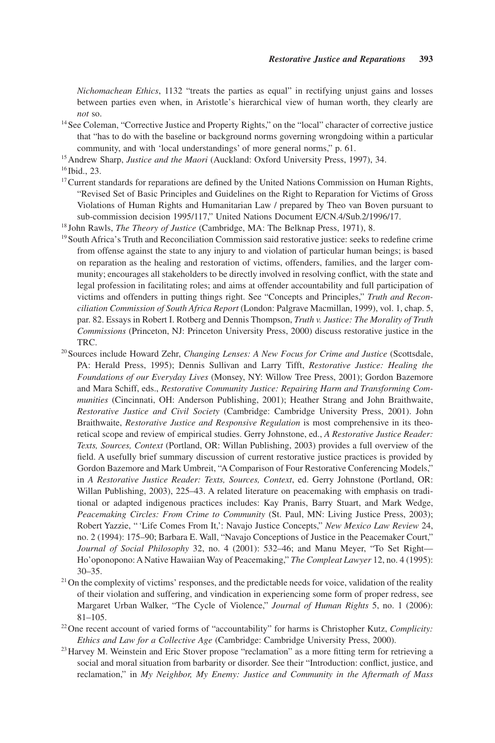*Nichomachean Ethics*, 1132 "treats the parties as equal" in rectifying unjust gains and losses between parties even when, in Aristotle's hierarchical view of human worth, they clearly are *not* so.

- <sup>14</sup> See Coleman, "Corrective Justice and Property Rights," on the "local" character of corrective justice that "has to do with the baseline or background norms governing wrongdoing within a particular community, and with 'local understandings' of more general norms," p. 61.
- <sup>15</sup> Andrew Sharp, *Justice and the Maori* (Auckland: Oxford University Press, 1997), 34.
- <sup>16</sup> Ibid., 23.
- <sup>17</sup> Current standards for reparations are defined by the United Nations Commission on Human Rights, "Revised Set of Basic Principles and Guidelines on the Right to Reparation for Victims of Gross Violations of Human Rights and Humanitarian Law / prepared by Theo van Boven pursuant to sub-commission decision 1995/117," United Nations Document E/CN.4/Sub.2/1996/17.
- <sup>18</sup> John Rawls, *The Theory of Justice* (Cambridge, MA: The Belknap Press, 1971), 8.
- 19South Africa's Truth and Reconciliation Commission said restorative justice: seeks to redefine crime from offense against the state to any injury to and violation of particular human beings; is based on reparation as the healing and restoration of victims, offenders, families, and the larger community; encourages all stakeholders to be directly involved in resolving conflict, with the state and legal profession in facilitating roles; and aims at offender accountability and full participation of victims and offenders in putting things right. See "Concepts and Principles," *Truth and Reconciliation Commission of South Africa Report* (London: Palgrave Macmillan, 1999), vol. 1, chap. 5, par. 82. Essays in Robert I. Rotberg and Dennis Thompson, *Truth v. Justice: The Morality of Truth Commissions* (Princeton, NJ: Princeton University Press, 2000) discuss restorative justice in the TRC.
- 20Sources include Howard Zehr, *Changing Lenses: A New Focus for Crime and Justice* (Scottsdale, PA: Herald Press, 1995); Dennis Sullivan and Larry Tifft, *Restorative Justice: Healing the Foundations of our Everyday Lives* (Monsey, NY: Willow Tree Press, 2001); Gordon Bazemore and Mara Schiff, eds., *Restorative Community Justice: Repairing Harm and Transforming Communities* (Cincinnati, OH: Anderson Publishing, 2001); Heather Strang and John Braithwaite, *Restorative Justice and Civil Society* (Cambridge: Cambridge University Press, 2001). John Braithwaite, *Restorative Justice and Responsive Regulation* is most comprehensive in its theoretical scope and review of empirical studies. Gerry Johnstone, ed., *A Restorative Justice Reader: Texts, Sources, Context* (Portland, OR: Willan Publishing, 2003) provides a full overview of the field. A usefully brief summary discussion of current restorative justice practices is provided by Gordon Bazemore and Mark Umbreit, "A Comparison of Four Restorative Conferencing Models," in *A Restorative Justice Reader: Texts, Sources, Context*, ed. Gerry Johnstone (Portland, OR: Willan Publishing, 2003), 225–43. A related literature on peacemaking with emphasis on traditional or adapted indigenous practices includes: Kay Pranis, Barry Stuart, and Mark Wedge, *Peacemaking Circles: From Crime to Community* (St. Paul, MN: Living Justice Press, 2003); Robert Yazzie, " 'Life Comes From It,': Navajo Justice Concepts," *New Mexico Law Review* 24, no. 2 (1994): 175–90; Barbara E. Wall, "Navajo Conceptions of Justice in the Peacemaker Court," *Journal of Social Philosophy* 32, no. 4 (2001): 532–46; and Manu Meyer, "To Set Right— Ho'oponopono: A Native Hawaiian Way of Peacemaking," *The Compleat Lawyer* 12, no. 4 (1995): 30–35.
- $21$ On the complexity of victims' responses, and the predictable needs for voice, validation of the reality of their violation and suffering, and vindication in experiencing some form of proper redress, see Margaret Urban Walker, "The Cycle of Violence," *Journal of Human Rights* 5, no. 1 (2006): 81–105.
- 22One recent account of varied forms of "accountability" for harms is Christopher Kutz, *Complicity: Ethics and Law for a Collective Age* (Cambridge: Cambridge University Press, 2000).
- $23$  Harvey M. Weinstein and Eric Stover propose "reclamation" as a more fitting term for retrieving a social and moral situation from barbarity or disorder. See their "Introduction: conflict, justice, and reclamation," in *My Neighbor, My Enemy: Justice and Community in the Aftermath of Mass*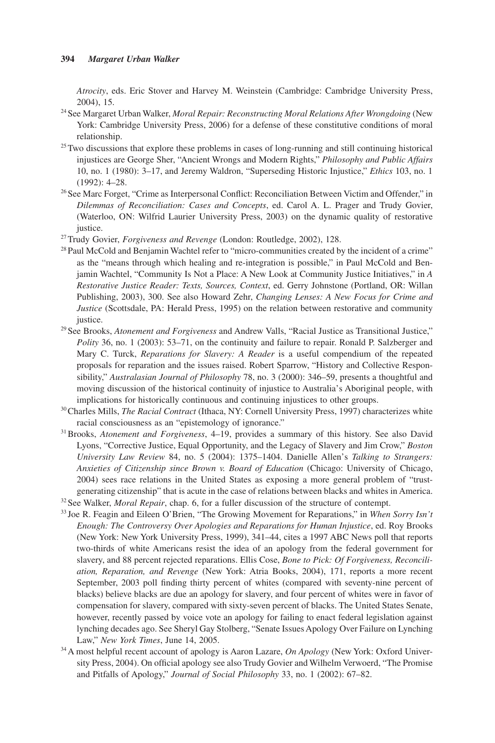*Atrocity*, eds. Eric Stover and Harvey M. Weinstein (Cambridge: Cambridge University Press, 2004), 15.

- 24See Margaret Urban Walker, *Moral Repair: Reconstructing Moral Relations After Wrongdoing* (New York: Cambridge University Press, 2006) for a defense of these constitutive conditions of moral relationship.
- $25$ Two discussions that explore these problems in cases of long-running and still continuing historical injustices are George Sher, "Ancient Wrongs and Modern Rights," *Philosophy and Public Affairs* 10, no. 1 (1980): 3–17, and Jeremy Waldron, "Superseding Historic Injustice," *Ethics* 103, no. 1 (1992): 4–28.
- <sup>26</sup> See Marc Forget, "Crime as Interpersonal Conflict: Reconciliation Between Victim and Offender," in *Dilemmas of Reconciliation: Cases and Concepts*, ed. Carol A. L. Prager and Trudy Govier, (Waterloo, ON: Wilfrid Laurier University Press, 2003) on the dynamic quality of restorative justice.
- 27Trudy Govier, *Forgiveness and Revenge* (London: Routledge, 2002), 128.
- <sup>28</sup> Paul McCold and Benjamin Wachtel refer to "micro-communities created by the incident of a crime" as the "means through which healing and re-integration is possible," in Paul McCold and Benjamin Wachtel, "Community Is Not a Place: A New Look at Community Justice Initiatives," in *A Restorative Justice Reader: Texts, Sources, Context*, ed. Gerry Johnstone (Portland, OR: Willan Publishing, 2003), 300. See also Howard Zehr, *Changing Lenses: A New Focus for Crime and Justice* (Scottsdale, PA: Herald Press, 1995) on the relation between restorative and community justice.
- <sup>29</sup> See Brooks, *Atonement and Forgiveness* and Andrew Valls, "Racial Justice as Transitional Justice," *Polity* 36, no. 1 (2003): 53–71, on the continuity and failure to repair. Ronald P. Salzberger and Mary C. Turck, *Reparations for Slavery: A Reader* is a useful compendium of the repeated proposals for reparation and the issues raised. Robert Sparrow, "History and Collective Responsibility," *Australasian Journal of Philosophy* 78, no. 3 (2000): 346–59, presents a thoughtful and moving discussion of the historical continuity of injustice to Australia's Aboriginal people, with implications for historically continuous and continuing injustices to other groups.
- 30Charles Mills, *The Racial Contract* (Ithaca, NY: Cornell University Press, 1997) characterizes white racial consciousness as an "epistemology of ignorance."
- 31Brooks, *Atonement and Forgiveness*, 4–19, provides a summary of this history. See also David Lyons, "Corrective Justice, Equal Opportunity, and the Legacy of Slavery and Jim Crow," *Boston University Law Review* 84, no. 5 (2004): 1375–1404. Danielle Allen's *Talking to Strangers: Anxieties of Citizenship since Brown v. Board of Education* (Chicago: University of Chicago, 2004) sees race relations in the United States as exposing a more general problem of "trustgenerating citizenship" that is acute in the case of relations between blacks and whites in America.
- <sup>32</sup> See Walker, *Moral Repair*, chap. 6, for a fuller discussion of the structure of contempt.
- <sup>33</sup> Joe R. Feagin and Eileen O'Brien, "The Growing Movement for Reparations," in *When Sorry Isn't Enough: The Controversy Over Apologies and Reparations for Human Injustice*, ed. Roy Brooks (New York: New York University Press, 1999), 341–44, cites a 1997 ABC News poll that reports two-thirds of white Americans resist the idea of an apology from the federal government for slavery, and 88 percent rejected reparations. Ellis Cose, *Bone to Pick: Of Forgiveness, Reconciliation, Reparation, and Revenge* (New York: Atria Books, 2004), 171, reports a more recent September, 2003 poll finding thirty percent of whites (compared with seventy-nine percent of blacks) believe blacks are due an apology for slavery, and four percent of whites were in favor of compensation for slavery, compared with sixty-seven percent of blacks. The United States Senate, however, recently passed by voice vote an apology for failing to enact federal legislation against lynching decades ago. See Sheryl Gay Stolberg, "Senate Issues Apology Over Failure on Lynching Law," *New York Times*, June 14, 2005.
- 34A most helpful recent account of apology is Aaron Lazare, *On Apology* (New York: Oxford University Press, 2004). On official apology see also Trudy Govier and Wilhelm Verwoerd, "The Promise and Pitfalls of Apology," *Journal of Social Philosophy* 33, no. 1 (2002): 67–82.